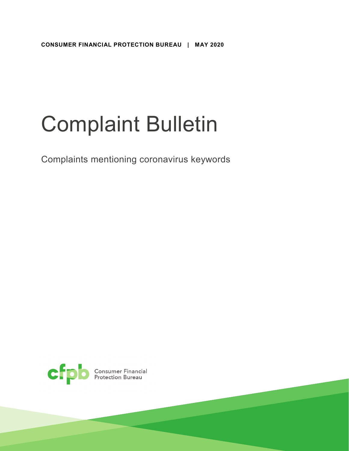# Complaint Bulletin

Complaints mentioning coronavirus keywords

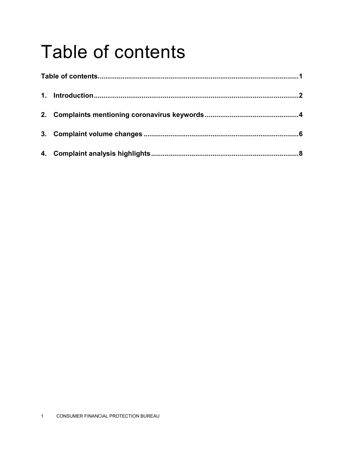### <span id="page-1-0"></span>Table of contents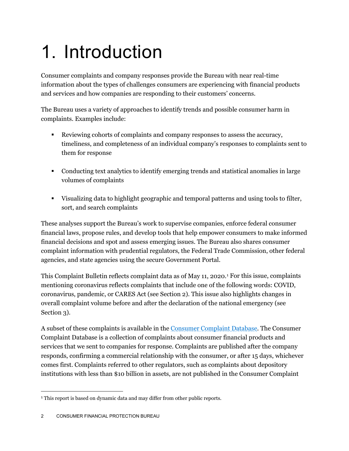## <span id="page-2-0"></span>1. Introduction

Consumer complaints and company responses provide the Bureau with near real-time information about the types of challenges consumers are experiencing with financial products and services and how companies are responding to their customers' concerns.

The Bureau uses a variety of approaches to identify trends and possible consumer harm in complaints. Examples include:

- Reviewing cohorts of complaints and company responses to assess the accuracy, timeliness, and completeness of an individual company's responses to complaints sent to them for response
- Conducting text analytics to identify emerging trends and statistical anomalies in large volumes of complaints
- Visualizing data to highlight geographic and temporal patterns and using tools to filter, sort, and search complaints

These analyses support the Bureau's work to supervise companies, enforce federal consumer financial laws, propose rules, and develop tools that help empower consumers to make informed financial decisions and spot and assess emerging issues. The Bureau also shares consumer complaint information with prudential regulators, the Federal Trade Commission, other federal agencies, and state agencies using the secure Government Portal.

This Complaint Bulletin reflects complaint data as of May [1](#page-2-1)1, 2020.<sup>1</sup> For this issue, complaints mentioning coronavirus reflects complaints that include one of the following words: COVID, coronavirus, pandemic, or CARES Act (see Section 2). This issue also highlights changes in overall complaint volume before and after the declaration of the national emergency (see Section 3).

A subset of these complaints is available in th[e Consumer Complaint Database.](https://www.consumerfinance.gov/data-research/consumer-complaints/) The Consumer Complaint Database is a collection of complaints about consumer financial products and services that we sent to companies for response. Complaints are published after the company responds, confirming a commercial relationship with the consumer, or after 15 days, whichever comes first. Complaints referred to other regulators, such as complaints about depository institutions with less than \$10 billion in assets, are not published in the Consumer Complaint

<span id="page-2-1"></span><sup>&</sup>lt;sup>1</sup> This report is based on dynamic data and may differ from other public reports.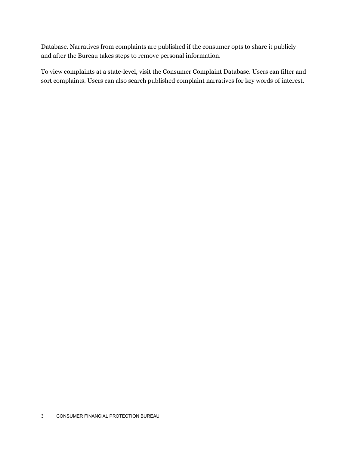Database. Narratives from complaints are published if the consumer opts to share it publicly and after the Bureau takes steps to remove personal information.

To view complaints at a state-level, visit the Consumer Complaint Database. Users can filter and sort complaints. Users can also search published complaint narratives for key words of interest.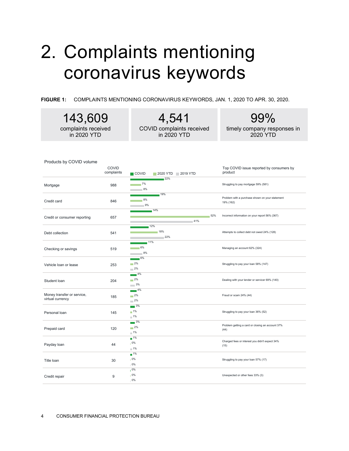#### <span id="page-4-0"></span>2. Complaints mentioning coronavirus keywords

143,609

**FIGURE 1:** COMPLAINTS MENTIONING CORONAVIRUS KEYWORDS, JAN. 1, 2020 TO APR. 30, 2020.

4,541

99%

| complaints received<br>in 2020 YTD             |                     | COVID complaints received<br>in 2020 YTD         | timely company responses in<br>2020 YTD                      |
|------------------------------------------------|---------------------|--------------------------------------------------|--------------------------------------------------------------|
| Products by COVID volume                       | COVID<br>complaints | $\blacksquare$ COVID<br>2020 YTD 2019 YTD        | Top COVID issue reported by consumers by<br>product          |
| Mortgage                                       | 988                 | 22%<br>$8\%$                                     | Struggling to pay mortgage 59% (581)                         |
| Credit card                                    | 846                 | 19%<br>$8\%$<br>9%                               | Problem with a purchase shown on your statement<br>19% (162) |
| Credit or consumer reporting                   | 657                 | 14%<br>52%<br>41%                                | Incorrect information on your report 56% (367)               |
| Debt collection                                | 541                 | 12%<br>18%<br>22%                                | Attempts to collect debt not owed 24% (128)                  |
| Checking or savings                            | 519                 | 11%<br>$8\%$                                     | Managing an account 62% (324)                                |
| Vehicle loan or lease                          | 253                 | 2%<br>$\overline{\phantom{1}}$ 2%                | Struggling to pay your loan 58% (147)                        |
| Student loan                                   | 204                 | $4\%$<br>$-2\%$<br>3%                            | Dealing with your lender or servicer 69% (140)               |
| Money transfer or service,<br>virtual currency | 185                 | 4%<br>$-2\%$<br>$-2\%$                           | Fraud or scam 24% (44)                                       |
| Personal loan                                  | 145                 | $\overline{3\%}$<br>$1\%$<br>$\blacksquare$ 1%   | Struggling to pay your loan 36% (52)                         |
| Prepaid card                                   | 120                 | $\blacksquare$ 3%<br>$-2\%$<br>$\blacksquare$ 1% | Problem getting a card or closing an account 37%<br>(44)     |
| Payday loan                                    | 44                  | $\overline{1\%}$<br>10%<br>$1\%$                 | Charged fees or interest you didn't expect 34%<br>(15)       |
| Title loan                                     | 30                  | $1\%$<br>10%<br>0%                               | Struggling to pay your loan 57% (17)                         |
| Credit repair                                  | 9                   | 10%<br>0%<br>0%                                  | Unexpected or other fees 33% (3)                             |
|                                                |                     |                                                  |                                                              |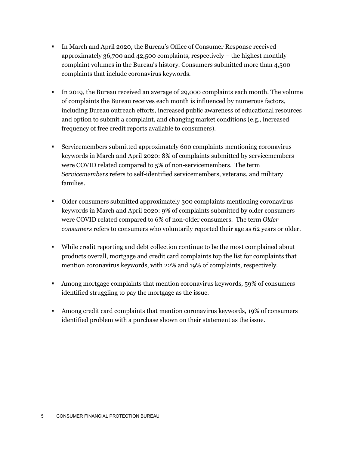- In March and April 2020, the Bureau's Office of Consumer Response received approximately 36,700 and 42,500 complaints, respectively – the highest monthly complaint volumes in the Bureau's history. Consumers submitted more than 4,500 complaints that include coronavirus keywords.
- In 2019, the Bureau received an average of 29,000 complaints each month. The volume of complaints the Bureau receives each month is influenced by numerous factors, including Bureau outreach efforts, increased public awareness of educational resources and option to submit a complaint, and changing market conditions (e.g., increased frequency of free credit reports available to consumers).
- Servicemembers submitted approximately 600 complaints mentioning coronavirus keywords in March and April 2020: 8% of complaints submitted by servicemembers were COVID related compared to 5% of non-servicemembers. The term *Servicemembers* refers to self-identified servicemembers, veterans, and military families.
- Older consumers submitted approximately 300 complaints mentioning coronavirus keywords in March and April 2020: 9% of complaints submitted by older consumers were COVID related compared to 6% of non-older consumers. The term *Older consumers* refers to consumers who voluntarily reported their age as 62 years or older.
- While credit reporting and debt collection continue to be the most complained about products overall, mortgage and credit card complaints top the list for complaints that mention coronavirus keywords, with 22% and 19% of complaints, respectively.
- Among mortgage complaints that mention coronavirus keywords, 59% of consumers identified struggling to pay the mortgage as the issue.
- Among credit card complaints that mention coronavirus keywords, 19% of consumers identified problem with a purchase shown on their statement as the issue.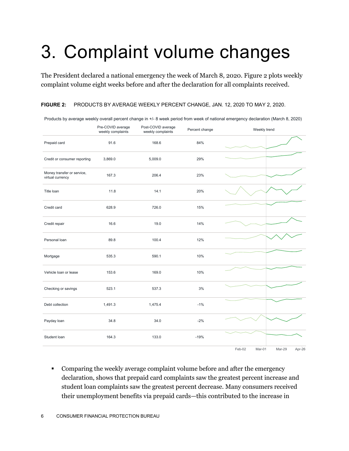## <span id="page-6-0"></span>3. Complaint volume changes

The President declared a national emergency the week of March 8, 2020. Figure 2 plots weekly complaint volume eight weeks before and after the declaration for all complaints received.

#### **FIGURE 2:** PRODUCTS BY AVERAGE WEEKLY PERCENT CHANGE, JAN. 12, 2020 TO MAY 2, 2020.

|                                                | Pre-COVID average<br>weekly complaints | Post-COVID average<br>weekly complaints | Percent change | Weekly trend                         |
|------------------------------------------------|----------------------------------------|-----------------------------------------|----------------|--------------------------------------|
| Prepaid card                                   | 91.6                                   | 168.6                                   | 84%            |                                      |
| Credit or consumer reporting                   | 3,869.0                                | 5,009.0                                 | 29%            |                                      |
| Money transfer or service,<br>virtual currency | 167.3                                  | 206.4                                   | 23%            |                                      |
| Title Ioan                                     | 11.8                                   | 14.1                                    | 20%            |                                      |
| Credit card                                    | 628.9                                  | 726.0                                   | 15%            |                                      |
| Credit repair                                  | 16.6                                   | 19.0                                    | 14%            |                                      |
| Personal loan                                  | 89.8                                   | 100.4                                   | 12%            |                                      |
| Mortgage                                       | 535.3                                  | 590.1                                   | 10%            |                                      |
| Vehicle loan or lease                          | 153.6                                  | 169.0                                   | 10%            |                                      |
| Checking or savings                            | 523.1                                  | 537.3                                   | 3%             |                                      |
| Debt collection                                | 1,491.3                                | 1,475.4                                 | $-1%$          |                                      |
| Payday loan                                    | 34.8                                   | 34.0                                    | $-2%$          |                                      |
| Student loan                                   | 164.3                                  | 133.0                                   | $-19%$         |                                      |
|                                                |                                        |                                         |                | Feb-02<br>Mar-01<br>Mar-29<br>Apr-26 |

Products by average weekly overall percent change in +/- 8 week period from week of national emergency declaration (March 8, 2020)

 Comparing the weekly average complaint volume before and after the emergency declaration, shows that prepaid card complaints saw the greatest percent increase and student loan complaints saw the greatest percent decrease. Many consumers received their unemployment benefits via prepaid cards—this contributed to the increase in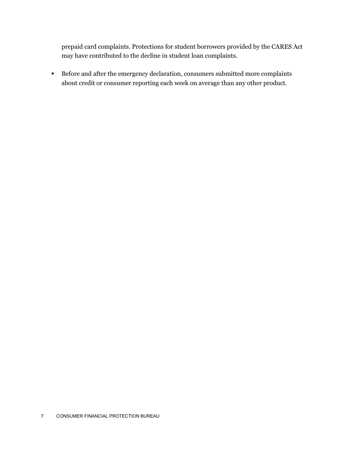prepaid card complaints. Protections for student borrowers provided by the CARES Act may have contributed to the decline in student loan complaints.

**Before and after the emergency declaration, consumers submitted more complaints** about credit or consumer reporting each week on average than any other product.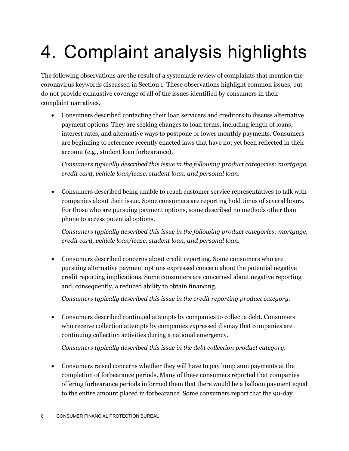## <span id="page-8-0"></span>4. Complaint analysis highlights

The following observations are the result of a systematic review of complaints that mention the coronavirus keywords discussed in Section 1. These observations highlight common issues, but do not provide exhaustive coverage of all of the issues identified by consumers in their complaint narratives.

• Consumers described contacting their loan servicers and creditors to discuss alternative payment options. They are seeking changes to loan terms, including length of loans, interest rates, and alternative ways to postpone or lower monthly payments. Consumers are beginning to reference recently enacted laws that have not yet been reflected in their account (e.g., student loan forbearance).

*Consumers typically described this issue in the following product categories: mortgage, credit card, vehicle loan/lease, student loan, and personal loan.*

• Consumers described being unable to reach customer service representatives to talk with companies about their issue. Some consumers are reporting hold times of several hours. For those who are pursuing payment options, some described no methods other than phone to access potential options.

*Consumers typically described this issue in the following product categories: mortgage, credit card, vehicle loan/lease, student loan, and personal loan.*

• Consumers described concerns about credit reporting. Some consumers who are pursuing alternative payment options expressed concern about the potential negative credit reporting implications. Some consumers are concerned about negative reporting and, consequently, a reduced ability to obtain financing.

*Consumers typically described this issue in the credit reporting product category.*

• Consumers described continued attempts by companies to collect a debt. Consumers who receive collection attempts by companies expressed dismay that companies are continuing collection activities during a national emergency.

*Consumers typically described this issue in the debt collection product category.*

• Consumers raised concerns whether they will have to pay lump sum payments at the completion of forbearance periods. Many of these consumers reported that companies offering forbearance periods informed them that there would be a balloon payment equal to the entire amount placed in forbearance. Some consumers report that the 90-day